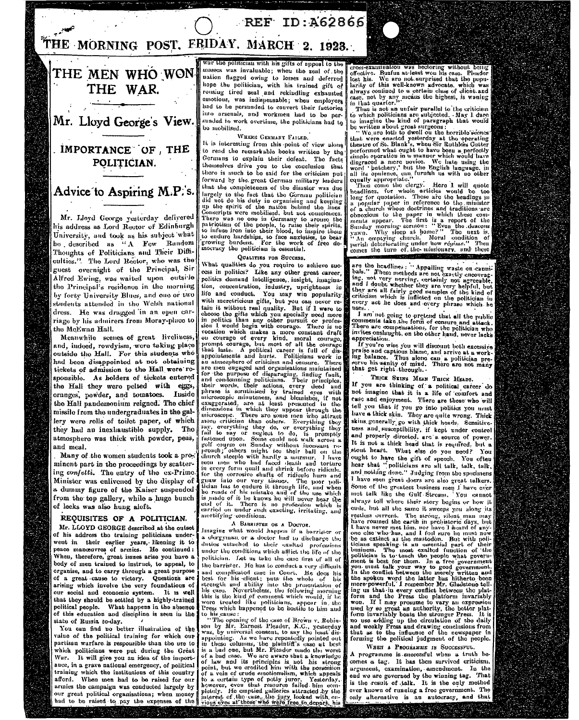THE MORNING POST, FRIDAY, MARCH 2, 1923.



# Advice to Aspiring M.P.'s.

Mr. Lloyd George yesterday delivered his address as Lord Rector of Edinburgh University, and took as his subject what ho described as "A Few Random Thoughts of Politicians and Their Difficulties." The Lord Rector, who was the guest overnight of the Principal, Sir Alfred Ewing, was waited upon outside the Principal's residence in the morning by forty University Blues, and one or two students attended in the Welsh national dress. He was dragged in an open carriage by his admirers from Moray-place to the McEwan Hall.

Meanwhile scenes of great liveliness, and, indeed, rowdyism, were taking place outside the Hall. For this students who had been disappointed at not obtaining tickets of admission to the Hall were responsible. As holders of tickets entered the Hall they were pelted with eggs, oranges, powder, and tomatoes. Inside the Hall pandemonium reigned. The chief missile from the undergraduates in the gallery were rolls of toilet paper, of which they had an inexhaustible supply. Tho atmosphere was thick with powder, peas, and meal.

Many of the women students took a prominent part in the proceedings by scattering confetti. The entry of the ex-Prime Minister was enlivened by the display of a dummy figure of the Kaiser suspended from the top gallery, while a huge bunch of leeks was also hung aloft.

### REQUISITES OF A POLITICIAN.

Mr. LLOYD GEORGE described at the outset of his address the training politicians underwent in their earlier years, likening it to peace manœuvres of armies. He continued: When, therefore, great issues arise you have a body of men trained to instruct, to appeal, to organise, and to carry through a great purpose of a great cause to victory. **Ouestions** are arising which involve the very foundations of our social and economic system. It is well that they should be settled by a highly-trained political people. What happens in the absence of this education and discipline is seen in the state of Russia to-day.

You can find no better illustration of the value of the political training for which our partisan warfare is responsible than the use to which politicians were put during the Great War. It will give you an idea of the importauce, in a grave national emergency, of political training which the institutions of this country When men had to be raised for our afford. armies the campaign was conducted largely by our great political organisations; when money had to be raised to pay the expenses of the

war the politician with his gifts of appeal to the masses was invaluable; when the zeal of the nation flagged owing to losses and deferred hope the politician, with his trained gift of rousing tired zeal and rekindling exhausted emotions, was indispensable; when employers had to be persuaded to convert their factories into arsenals, and workmen had to be persuaded to work overtime, the politicians had to bo mobilised.

**REF ID: A62866** 

#### WHERE GERMANY FAILED.

It is interesting from this point of view alone to read the remarkable books written by the Germans to explain their defeat. The facts themselves drive you to the conclusion that there is much to be said for the criticism put forward by the great German military leaders that the completeness of the disastor was due largely to the fact that the German politician and seeing the did not do his duty in organising and keeping the spirit of the nation behind the lines of the conscripts were mobilised. but not consciouscs. Conserving were modified, out not conseitness.<br>There was no one in Germany to arouse the<br>pariotism of the poople, to raise their spirits,<br>to infuse iron into their blood, to inspire them to endure hardelips, to face anxieties, to bear growing burdens. For the work of free de-<br>mocracy the politician is essential.

#### QUALITIES FOR SUCCESS.

What qualities do you require to achieve success in politics? Like any other great career. politics demand intelligence, insight, imagination, concentration, industry, uprightness in life and conduct. You may win popularity with meretricious gifts, but you can never rewith meretricious gifts, but you can never re-<br>tain it without real quality. But if I were to<br>choose the gifts which you specially need more in politics than any other pursuit or profes-<br>sion I would begin with convege. Th sa assume parameter of critical or the same and can be an anomaly and content and conducting function of changing function of changing in the phenomenon of changing intervals. Their principles, their words, their actions, for the corresponding starts of ridicule burn and<br>guaw into our very tissues. The poor poli-<br>dician has to endure it through life, and when fician leas to endure it through life, and when<br>he reads of his mistake and of the use which<br>is made of it he knows he will never hear the<br>end of it. There is no profession which is<br>carried on under such exacting, irritati mortifying conditions.

#### A BARRISTER OR A DOCTOR.

Imagine what would happen if a barrister or a elergyman or a doctor had to discharge the duties attached to their exalted professions under the conditions which afflict the life of the politician. Let us take the case first of all of the barrister. He has to conduct a very difficult the barrister. Ite has to conduct a very difficult<br>and complicated case in Corri. He does bis<br>best for his client; puts die whole of his<br>strength and ability into the presentation of<br>his case. Novertheless, the following n to his cause.

The opening of the case of Brown v. Robin son by Mr. Earnest Pleader, K.C., yesterday was, by universal consent, to say the least diswas, by universal consent, to say the least dis-<br>propinting. As we have repeatedly pointed out in these columns, the plaintiff's case at best<br>is a bad cone, but Mr. Pieader made the worst of a bad case. We are overcompled cross-examination was hectoring without being<br>effective. Buzfuz at least won his case. Pleader<br>lost his. We are not surprised that the popu-<br>larity of this well-known advocate, which was always contined to a certain class of client and case, not by any means the highest, is waning<br>in that quarter."

That is not an unfair parallel to the criticism to which politicians are subjected. May I dare<br>to which politicians are subjected. May I dare be written about great surgeons:<br>be written about great surgeons:<br>"We are loth to dwell ou the horrible scene

" we also a constant of a selected y at the operating<br>these researched yesterday at the operating<br>these of St. Blank's, when Sir Ruthless Cutter<br>performed what ought to have been a perfectly<br>disgraed a nere novice. We late disgraced a nere novice. We have using the word 'butchery,' but the English language, in all its optioner, can furnish us with no other

all its opplemee, can furnish us with no other<br>equally appropriate."<br>Then comes the elergy. Here 1 will quote<br>beadlines, for whole articles would be too<br>long for quotation. These are the leadings in<br>a popular paper in refe yawn. Way sleep as noner Theo next is<br>"An emptying church. Moral condition of<br>parish deteriorating under new requime." Then<br>comes the turn of the unisionary, and these

ire the headlines: "Appalling waste on canniare the headlines: "Appalling waste on cannibals." These methods are not exactly encouraging, not very nerving, occursing not expecteble, and I doubt whether they are very helpful, but they are ill fairly good samples of t every act he does and overy phrase which he tises

uses.<br>I am not going to pretend that all the public<br>comments take the form of censure and attack.<br>There are compensations, for the politician who<br>invites on<br>share in the other hand, never lacks appreciation.

If you're wise you will discount both excessive It you re wise you will discount both excessive praise and captious blame, and arrive at a working balance. Thus alone can a politician preserve his sanity of mind. There are not many that get right through.

THICE SEINS MEAN THICK HEADS.

If you are thinking of a political career do not imagine that it is a life of comfort and case and enjoyment. There are those who will tell you that if you go into politics you umst have a thick skin. They are quite wrong. Thick skins generally go with thick heads. Sensitiveuess and susceptibility, if kept under control and properly directed, are a source of power. It is not a thick head that is required, but a stout heart. What else do you need? You ought to have the gift of speech. You often hear that "politicians are all talk, talk, talk, and nothing done." Judging from the specimens I have seen great doers are also great talkers. Some of the greatest business men I have ever met talk like the Gulf Stream. You cannot always toll where their story begins or how it ends, but all the same it sweeps you along its cuds, but all the same it sweeps you along its<br>restates current. The strong, silent, man may<br>have rounned the earth in prohistoric days, but<br>I have never met him, nor have I heard of any-<br>one cles who has, and I feel sure the spoken word the latter has hitherto been<br>more powerful. I remember Mr. Gladstone telling us that in every conflict between the plat-<br>form and the Press the platform invariably<br>won. If I may presume to vary an expression<br>used by so great an authority, the botter platform invariably beats the stronger Press. 'n se no use adding up the circulation of the daily<br>and weekly Press and drawing conclusions from<br>that as to the influence of the newspaper in forming the political judgment of the people.

WHEN A PROGRAMME IS SUCCESSFUL. A programme is successful when a truth becomes a tag. It has then survived criticism. argument, examination, amendment. In the end we are governed by the winning tag. That is the result of talk. It is the only method ever known of running a free government. The only alternative is an autocracy, and that